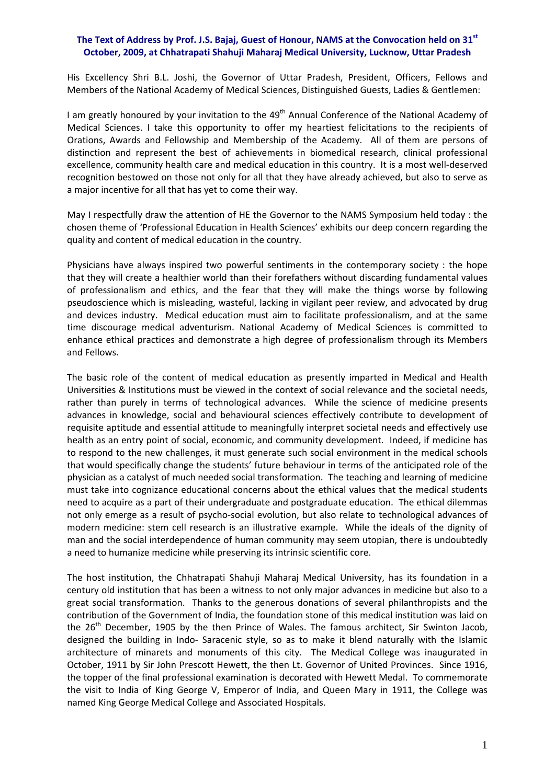## The Text of Address by Prof. J.S. Bajaj, Guest of Honour, NAMS at the Convocation held on 31<sup>st</sup> **October, 2009, at Chhatrapati Shahuji Maharaj Medical University, Lucknow, Uttar Pradesh**

His Excellency Shri B.L. Joshi, the Governor of Uttar Pradesh, President, Officers, Fellows and Members of the National Academy of Medical Sciences, Distinguished Guests, Ladies & Gentlemen:

I am greatly honoured by your invitation to the 49<sup>th</sup> Annual Conference of the National Academy of Medical Sciences. I take this opportunity to offer my heartiest felicitations to the recipients of Orations, Awards and Fellowship and Membership of the Academy. All of them are persons of distinction and represent the best of achievements in biomedical research, clinical professional excellence, community health care and medical education in this country. It is a most well‐deserved recognition bestowed on those not only for all that they have already achieved, but also to serve as a major incentive for all that has yet to come their way.

May I respectfully draw the attention of HE the Governor to the NAMS Symposium held today : the chosen theme of 'Professional Education in Health Sciences' exhibits our deep concern regarding the quality and content of medical education in the country.

Physicians have always inspired two powerful sentiments in the contemporary society : the hope that they will create a healthier world than their forefathers without discarding fundamental values of professionalism and ethics, and the fear that they will make the things worse by following pseudoscience which is misleading, wasteful, lacking in vigilant peer review, and advocated by drug and devices industry. Medical education must aim to facilitate professionalism, and at the same time discourage medical adventurism. National Academy of Medical Sciences is committed to enhance ethical practices and demonstrate a high degree of professionalism through its Members and Fellows.

The basic role of the content of medical education as presently imparted in Medical and Health Universities & Institutions must be viewed in the context of social relevance and the societal needs, rather than purely in terms of technological advances. While the science of medicine presents advances in knowledge, social and behavioural sciences effectively contribute to development of requisite aptitude and essential attitude to meaningfully interpret societal needs and effectively use health as an entry point of social, economic, and community development. Indeed, if medicine has to respond to the new challenges, it must generate such social environment in the medical schools that would specifically change the students' future behaviour in terms of the anticipated role of the physician as a catalyst of much needed social transformation. The teaching and learning of medicine must take into cognizance educational concerns about the ethical values that the medical students need to acquire as a part of their undergraduate and postgraduate education. The ethical dilemmas not only emerge as a result of psycho‐social evolution, but also relate to technological advances of modern medicine: stem cell research is an illustrative example. While the ideals of the dignity of man and the social interdependence of human community may seem utopian, there is undoubtedly a need to humanize medicine while preserving its intrinsic scientific core.

The host institution, the Chhatrapati Shahuji Maharaj Medical University, has its foundation in a century old institution that has been a witness to not only major advances in medicine but also to a great social transformation. Thanks to the generous donations of several philanthropists and the contribution of the Government of India, the foundation stone of this medical institution was laid on the 26<sup>th</sup> December, 1905 by the then Prince of Wales. The famous architect, Sir Swinton Jacob, designed the building in Indo‐ Saracenic style, so as to make it blend naturally with the Islamic architecture of minarets and monuments of this city. The Medical College was inaugurated in October, 1911 by Sir John Prescott Hewett, the then Lt. Governor of United Provinces. Since 1916, the topper of the final professional examination is decorated with Hewett Medal. To commemorate the visit to India of King George V, Emperor of India, and Queen Mary in 1911, the College was named King George Medical College and Associated Hospitals.